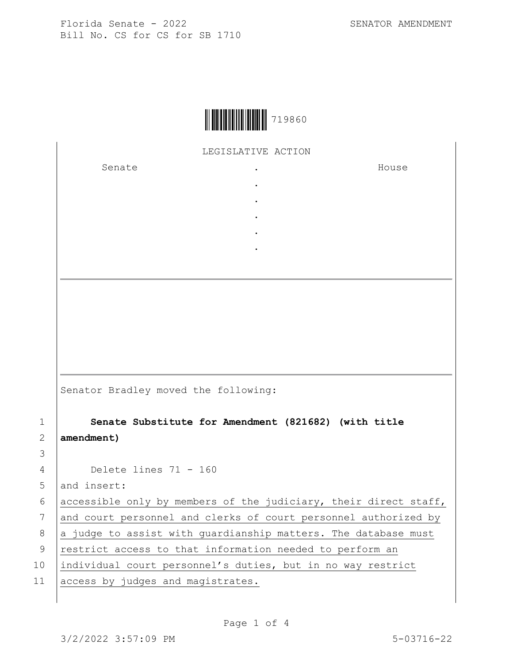

LEGISLATIVE ACTION

. .

. . .

Senate .

House

|             | Senator Bradley moved the following:                             |
|-------------|------------------------------------------------------------------|
| $\mathbf 1$ | Senate Substitute for Amendment (821682) (with title             |
| 2           | amendment)                                                       |
| 3           |                                                                  |
| 4           | Delete lines $71 - 160$                                          |
| 5           | and insert:                                                      |
| 6           | accessible only by members of the judiciary, their direct staff, |
| 7           | and court personnel and clerks of court personnel authorized by  |
| 8           | a judge to assist with quardianship matters. The database must   |

9 | restrict access to that information needed to perform an

10 individual court personnel's duties, but in no way restrict

11 access by judges and magistrates.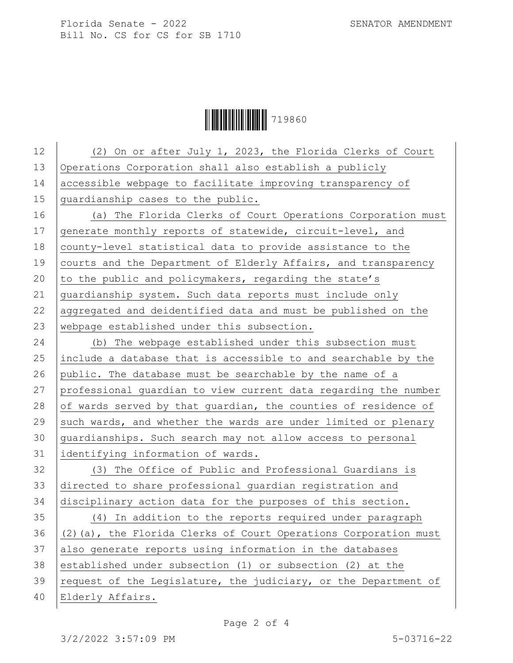Florida Senate - 2022 SENATOR AMENDMENT Bill No. CS for CS for SB 1710

## Ì7198607Î719860

| 12 | (2) On or after July 1, 2023, the Florida Clerks of Court        |
|----|------------------------------------------------------------------|
| 13 | Operations Corporation shall also establish a publicly           |
| 14 | accessible webpage to facilitate improving transparency of       |
| 15 | quardianship cases to the public.                                |
| 16 | (a) The Florida Clerks of Court Operations Corporation must      |
| 17 | generate monthly reports of statewide, circuit-level, and        |
| 18 | county-level statistical data to provide assistance to the       |
| 19 | courts and the Department of Elderly Affairs, and transparency   |
| 20 | to the public and policymakers, regarding the state's            |
| 21 | quardianship system. Such data reports must include only         |
| 22 | aggregated and deidentified data and must be published on the    |
| 23 | webpage established under this subsection.                       |
| 24 | (b) The webpage established under this subsection must           |
| 25 | include a database that is accessible to and searchable by the   |
| 26 | public. The database must be searchable by the name of a         |
| 27 | professional guardian to view current data regarding the number  |
| 28 | of wards served by that guardian, the counties of residence of   |
| 29 | such wards, and whether the wards are under limited or plenary   |
| 30 | quardianships. Such search may not allow access to personal      |
| 31 | identifying information of wards.                                |
| 32 | (3) The Office of Public and Professional Guardians is           |
| 33 | directed to share professional guardian registration and         |
| 34 | disciplinary action data for the purposes of this section.       |
| 35 | (4) In addition to the reports required under paragraph          |
| 36 | (2) (a), the Florida Clerks of Court Operations Corporation must |
| 37 | also generate reports using information in the databases         |
| 38 | established under subsection (1) or subsection (2) at the        |
| 39 | request of the Legislature, the judiciary, or the Department of  |
| 40 | Elderly Affairs.                                                 |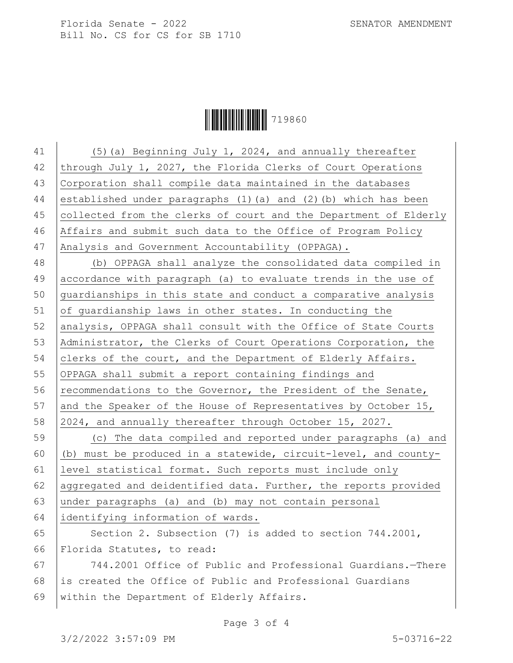Florida Senate - 2022 SENATOR AMENDMENT Bill No. CS for CS for SB 1710

**ÖYESÜN 19860** 

41 (5)(a) Beginning July 1, 2024, and annually thereafter through July 1, 2027, the Florida Clerks of Court Operations Corporation shall compile data maintained in the databases established under paragraphs (1)(a) and (2)(b) which has been collected from the clerks of court and the Department of Elderly Affairs and submit such data to the Office of Program Policy 47 Analysis and Government Accountability (OPPAGA). (b) OPPAGA shall analyze the consolidated data compiled in accordance with paragraph (a) to evaluate trends in the use of guardianships in this state and conduct a comparative analysis of guardianship laws in other states. In conducting the 52 analysis, OPPAGA shall consult with the Office of State Courts Administrator, the Clerks of Court Operations Corporation, the 54 clerks of the court, and the Department of Elderly Affairs. OPPAGA shall submit a report containing findings and 56 recommendations to the Governor, the President of the Senate, 57 and the Speaker of the House of Representatives by October 15, 2024, and annually thereafter through October 15, 2027. (c) The data compiled and reported under paragraphs (a) and (b) must be produced in a statewide, circuit-level, and county- level statistical format. Such reports must include only 62 aggregated and deidentified data. Further, the reports provided under paragraphs (a) and (b) may not contain personal identifying information of wards. 65 Section 2. Subsection  $(7)$  is added to section  $744.2001$ , Florida Statutes, to read: 744.2001 Office of Public and Professional Guardians.—There is created the Office of Public and Professional Guardians

within the Department of Elderly Affairs.